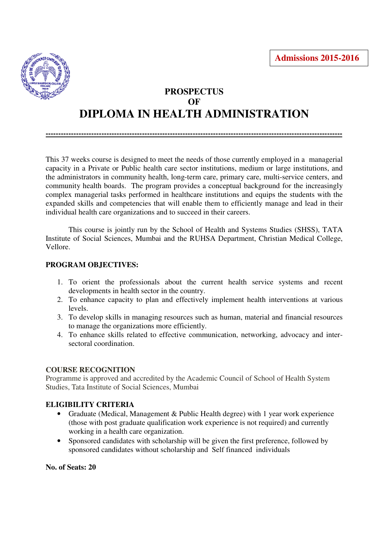

# **PROSPECTUS OF DIPLOMA IN HEALTH ADMINISTRATION**

**---------------------------------------------------------------------------------------------------------------------**

This 37 weeks course is designed to meet the needs of those currently employed in a managerial capacity in a Private or Public health care sector institutions, medium or large institutions, and the administrators in community health, long-term care, primary care, multi-service centers, and community health boards. The program provides a conceptual background for the increasingly complex managerial tasks performed in healthcare institutions and equips the students with the expanded skills and competencies that will enable them to efficiently manage and lead in their individual health care organizations and to succeed in their careers.

 This course is jointly run by the School of Health and Systems Studies (SHSS), TATA Institute of Social Sciences, Mumbai and the RUHSA Department, Christian Medical College, Vellore.

## **PROGRAM OBJECTIVES:**

- 1. To orient the professionals about the current health service systems and recent developments in health sector in the country.
- 2. To enhance capacity to plan and effectively implement health interventions at various levels.
- 3. To develop skills in managing resources such as human, material and financial resources to manage the organizations more efficiently.
- 4. To enhance skills related to effective communication, networking, advocacy and intersectoral coordination.

#### **COURSE RECOGNITION**

Programme is approved and accredited by the Academic Council of School of Health System Studies, Tata Institute of Social Sciences, Mumbai

## **ELIGIBILITY CRITERIA**

- Graduate (Medical, Management & Public Health degree) with 1 year work experience (those with post graduate qualification work experience is not required) and currently working in a health care organization.
- Sponsored candidates with scholarship will be given the first preference, followed by sponsored candidates without scholarship and Self financed individuals

**No. of Seats: 20**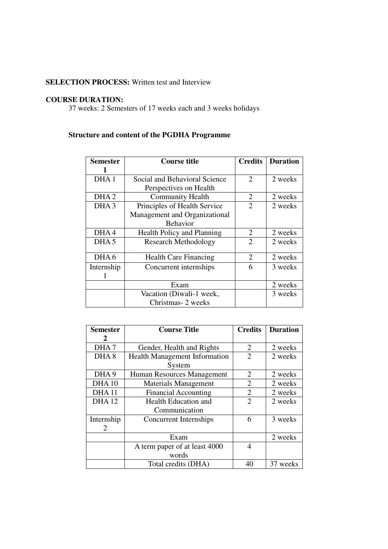## **SELECTION PROCESS:** Written test and Interview

### **COURSE DURATION:**

37 weeks: 2 Semesters of 17 weeks each and 3 weeks holidays

## **Structure and content of the PGDHA Programme**

| <b>Semester</b>  | <b>Course title</b>               | <b>Credits</b>        | <b>Duration</b> |
|------------------|-----------------------------------|-----------------------|-----------------|
|                  |                                   |                       |                 |
| DHA 1            | Social and Behavioral Science     | $\mathcal{D}_{\cdot}$ | 2 weeks         |
|                  | Perspectives on Health            |                       |                 |
| DHA <sub>2</sub> | <b>Community Health</b>           | 2                     | 2 weeks         |
| DHA <sub>3</sub> | Principles of Health Service      | $\overline{2}$        | 2 weeks         |
|                  | Management and Organizational     |                       |                 |
|                  | <b>Behavior</b>                   |                       |                 |
| DHA4             | <b>Health Policy and Planning</b> | 2                     | 2 weeks         |
| DHA <sub>5</sub> | <b>Research Methodology</b>       | $\overline{2}$        | 2 weeks         |
|                  |                                   |                       |                 |
| DHA6             | <b>Health Care Financing</b>      | 2                     | 2 weeks         |
| Internship       | Concurrent internships            | 6                     | 3 weeks         |
|                  |                                   |                       |                 |
|                  | Exam                              |                       | 2 weeks         |
|                  | Vacation (Diwali-1 week,          |                       | 3 weeks         |
|                  | Christmas-2 weeks                 |                       |                 |

| <b>Semester</b>  | <b>Course Title</b>                  | <b>Credits</b> | <b>Duration</b> |
|------------------|--------------------------------------|----------------|-----------------|
| 2                |                                      |                |                 |
| DHA7             | 2<br>Gender, Health and Rights       |                | 2 weeks         |
| DHA <sub>8</sub> | <b>Health Management Information</b> |                | 2 weeks         |
|                  | System                               |                |                 |
| DHA <sub>9</sub> | Human Resources Management           | 2              | 2 weeks         |
| <b>DHA10</b>     | <b>Materials Management</b>          | 2              | 2 weeks         |
| <b>DHA11</b>     | <b>Financial Accounting</b>          | $\overline{2}$ | 2 weeks         |
| <b>DHA12</b>     | <b>Health Education and</b>          | $\overline{2}$ | 2 weeks         |
|                  | Communication                        |                |                 |
| Internship       | Concurrent Internships               | 6              | 3 weeks         |
| 2                |                                      |                |                 |
|                  | Exam                                 |                | 2 weeks         |
|                  | A term paper of at least 4000        | 4              |                 |
|                  | words                                |                |                 |
|                  | Total credits (DHA)                  | 40             | 37 weeks        |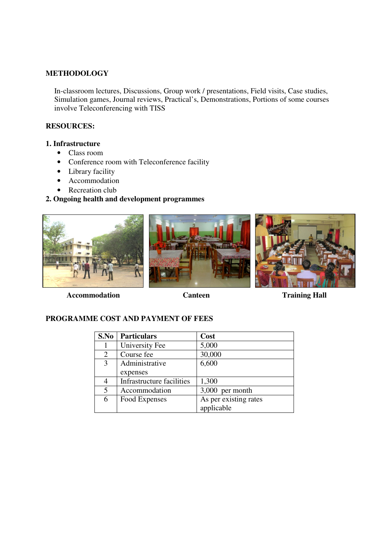#### **METHODOLOGY**

In-classroom lectures, Discussions, Group work / presentations, Field visits, Case studies, Simulation games, Journal reviews, Practical's, Demonstrations, Portions of some courses involve Teleconferencing with TISS

## **RESOURCES:**

## **1. Infrastructure**

- Class room
- Conference room with Teleconference facility
- Library facility
- Accommodation
- Recreation club

# **2. Ongoing health and development programmes**







Accommodation **Canteen Training Hall** 

## **PROGRAMME COST AND PAYMENT OF FEES**

| S.No | <b>Particulars</b>        | Cost                  |
|------|---------------------------|-----------------------|
|      | University Fee            | 5,000                 |
| 2    | Course fee                | 30,000                |
| 3    | Administrative            | 6,600                 |
|      | expenses                  |                       |
|      | Infrastructure facilities | 1,300                 |
| 5    | Accommodation             | 3,000 per month       |
| 6    | Food Expenses             | As per existing rates |
|      |                           | applicable            |